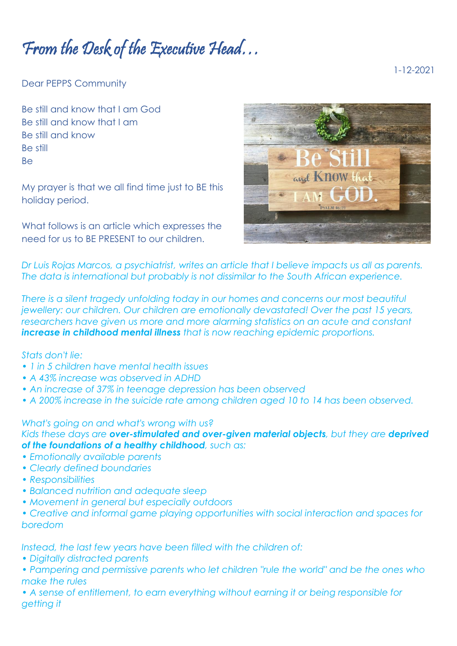From the Desk of the Executive Head…

1-12-2021

Dear PEPPS Community

Be still and know that I am God Be still and know that I am Be still and know Be still Be

My prayer is that we all find time just to BE this holiday period.

What follows is an article which expresses the need for us to BE PRESENT to our children.



*Dr Luis Rojas Marcos, a psychiatrist, writes an article that I believe impacts us all as parents. The data is international but probably is not dissimilar to the South African experience.*

*There is a silent tragedy unfolding today in our homes and concerns our most beautiful jewellery: our children. Our children are emotionally devastated! Over the past 15 years, researchers have given us more and more alarming statistics on an acute and constant increase in childhood mental illness that is now reaching epidemic proportions.*

## *Stats don't lie:*

- *1 in 5 children have mental health issues*
- *A 43% increase was observed in ADHD*
- *An increase of 37% in teenage depression has been observed*
- *A 200% increase in the suicide rate among children aged 10 to 14 has been observed.*

## *What's going on and what's wrong with us?*

*Kids these days are over-stimulated and over-given material objects, but they are deprived of the foundations of a healthy childhood, such as:*

- *Emotionally available parents*
- *Clearly defined boundaries*
- *Responsibilities*
- *Balanced nutrition and adequate sleep*
- *Movement in general but especially outdoors*
- *Creative and informal game playing opportunities with social interaction and spaces for boredom*

*Instead, the last few years have been filled with the children of:*

- *Digitally distracted parents*
- *Pampering and permissive parents who let children "rule the world" and be the ones who make the rules*
- *A sense of entitlement, to earn everything without earning it or being responsible for getting it*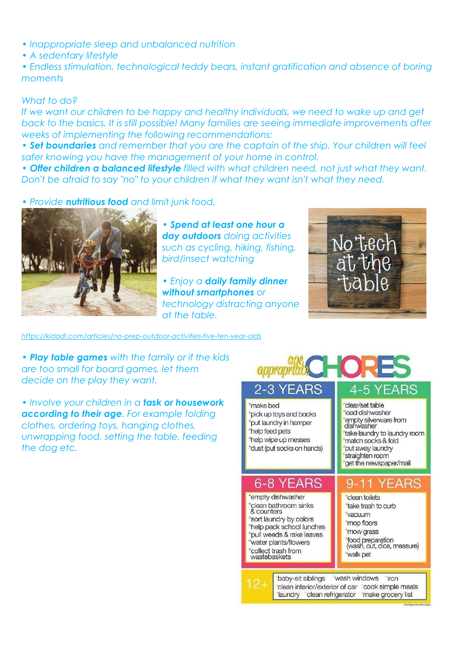- *Inappropriate sleep and unbalanced nutrition*
- *A sedentary lifestyle*

*• Endless stimulation, technological teddy bears, instant gratification and absence of boring moments*

## *What to do?*

If we want our children to be happy and healthy individuals, we need to wake up and get *back to the basics. It is still possible! Many families are seeing immediate improvements after weeks of implementing the following recommendations:*

*• Set boundaries and remember that you are the captain of the ship. Your children will feel safer knowing you have the management of your home in control.*

*• Offer children a balanced lifestyle filled with what children need, not just what they want. Don't be afraid to say "no" to your children if what they want isn't what they need.*

*• Provide nutritious food and limit junk food.*



*• Spend at least one hour a day outdoors doing activities such as cycling, hiking, fishing, bird/insect watching*

*• Enjoy a daily family dinner without smartphones or technology distracting anyone at the table.*



*<https://kidadl.com/articles/no-prep-outdoor-activities-five-ten-year-olds>*

*• Play table games with the family or if the kids are too small for board games, let them decide on the play they want.*

*• Involve your children in a task or housework according to their age. For example folding clothes, ordering toys, hanging clothes, unwrapping food, setting the table, feeding the dog etc.* 

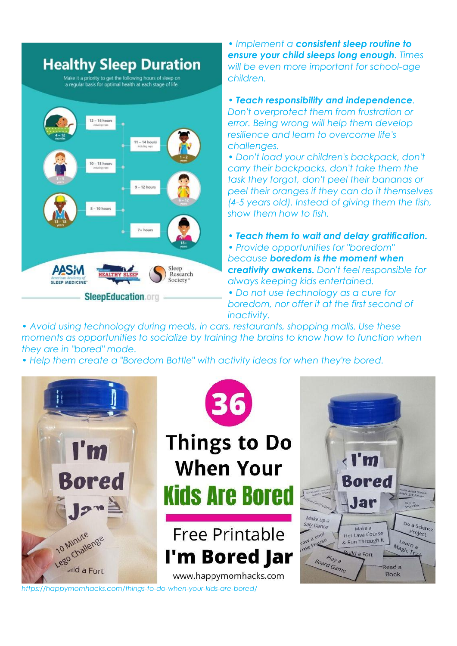

*• Implement a consistent sleep routine to ensure your child sleeps long enough. Times will be even more important for school-age children.*

*• Teach responsibility and independence. Don't overprotect them from frustration or error. Being wrong will help them develop resilience and learn to overcome life's challenges.*

*• Don't load your children's backpack, don't carry their backpacks, don't take them the task they forgot, don't peel their bananas or peel their oranges if they can do it themselves (4-5 years old). Instead of giving them the fish, show them how to fish.*

*• Teach them to wait and delay gratification.*

*• Provide opportunities for "boredom" because boredom is the moment when creativity awakens. Don't feel responsible for always keeping kids entertained.*

*• Do not use technology as a cure for boredom, nor offer it at the first second of inactivity.*

*• Avoid using technology during meals, in cars, restaurants, shopping malls. Use these moments as opportunities to socialize by training the brains to know how to function when they are in "bored" mode.*

*• Help them create a "Boredom Bottle" with activity ideas for when they're bored.*



*<https://happymomhacks.com/things-to-do-when-your-kids-are-bored/>*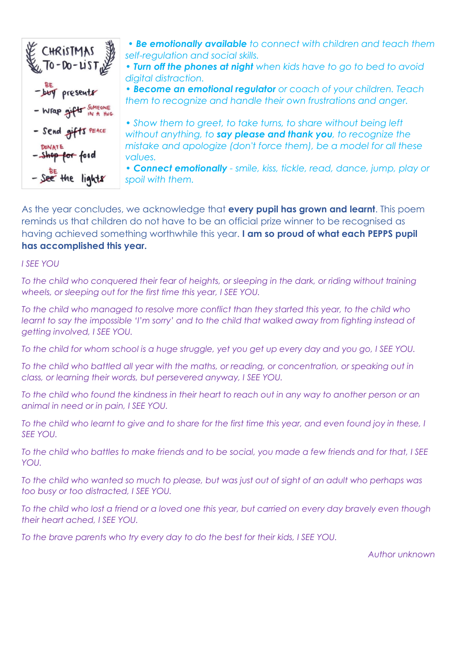

*• Be emotionally available to connect with children and teach them self-regulation and social skills.*

*• Turn off the phones at night when kids have to go to bed to avoid digital distraction.*

*• Become an emotional regulator or coach of your children. Teach them to recognize and handle their own frustrations and anger.*

• Show them to greet, to take turns, to share without being left *without anything, to say please and thank you, to recognize the mistake and apologize (don't force them), be a model for all these values.*

*• Connect emotionally - smile, kiss, tickle, read, dance, jump, play or spoil with them.*

As the year concludes, we acknowledge that **every pupil has grown and learnt**. This poem reminds us that children do not have to be an official prize winner to be recognised as having achieved something worthwhile this year. **I am so proud of what each PEPPS pupil has accomplished this year.**

## *I SEE YOU*

*To the child who conquered their fear of heights, or sleeping in the dark, or riding without training wheels, or sleeping out for the first time this year, I SEE YOU.*

*To the child who managed to resolve more conflict than they started this year, to the child who learnt to say the impossible 'I'm sorry' and to the child that walked away from fighting instead of getting involved, I SEE YOU.*

*To the child for whom school is a huge struggle, yet you get up every day and you go, I SEE YOU.*

*To the child who battled all year with the maths, or reading, or concentration, or speaking out in class, or learning their words, but persevered anyway, I SEE YOU.*

*To the child who found the kindness in their heart to reach out in any way to another person or an animal in need or in pain, I SEE YOU.*

*To the child who learnt to give and to share for the first time this year, and even found joy in these, I SEE YOU.*

*To the child who battles to make friends and to be social, you made a few friends and for that, I SEE YOU.*

*To the child who wanted so much to please, but was just out of sight of an adult who perhaps was too busy or too distracted, I SEE YOU.*

*To the child who lost a friend or a loved one this year, but carried on every day bravely even though their heart ached, I SEE YOU.*

*To the brave parents who try every day to do the best for their kids, I SEE YOU.*

*Author unknown*